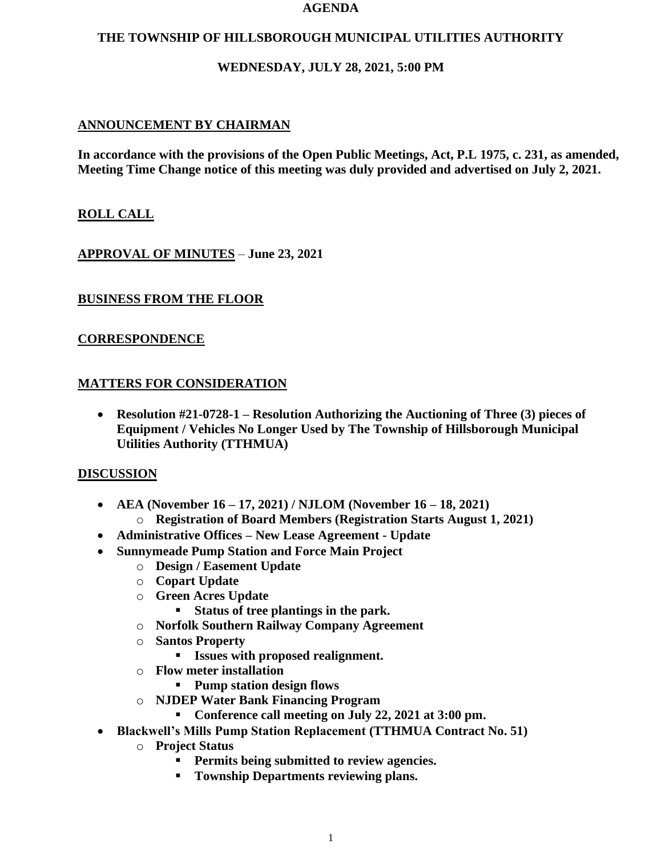#### **AGENDA**

## **THE TOWNSHIP OF HILLSBOROUGH MUNICIPAL UTILITIES AUTHORITY**

## **WEDNESDAY, JULY 28, 2021, 5:00 PM**

## **ANNOUNCEMENT BY CHAIRMAN**

**In accordance with the provisions of the Open Public Meetings, Act, P.L 1975, c. 231, as amended, Meeting Time Change notice of this meeting was duly provided and advertised on July 2, 2021.**

### **ROLL CALL**

**APPROVAL OF MINUTES** – **June 23, 2021**

### **BUSINESS FROM THE FLOOR**

### **CORRESPONDENCE**

### **MATTERS FOR CONSIDERATION**

• **Resolution #21-0728-1 – Resolution Authorizing the Auctioning of Three (3) pieces of Equipment / Vehicles No Longer Used by The Township of Hillsborough Municipal Utilities Authority (TTHMUA)**

#### **DISCUSSION**

- **AEA (November 16 – 17, 2021) / NJLOM (November 16 – 18, 2021)**
	- o **Registration of Board Members (Registration Starts August 1, 2021)**
- **Administrative Offices – New Lease Agreement - Update**
- **Sunnymeade Pump Station and Force Main Project**
	- o **Design / Easement Update**
	- o **Copart Update**
	- o **Green Acres Update**
		- **Status of tree plantings in the park.**
	- o **Norfolk Southern Railway Company Agreement**
	- o **Santos Property**
		- **Issues with proposed realignment.**
	- o **Flow meter installation**
		- **Pump station design flows**
	- o **NJDEP Water Bank Financing Program**
		- **Conference call meeting on July 22, 2021 at 3:00 pm.**
- **Blackwell's Mills Pump Station Replacement (TTHMUA Contract No. 51)**
	- o **Project Status**
		- **Permits being submitted to review agencies.**
		- **Township Departments reviewing plans.**